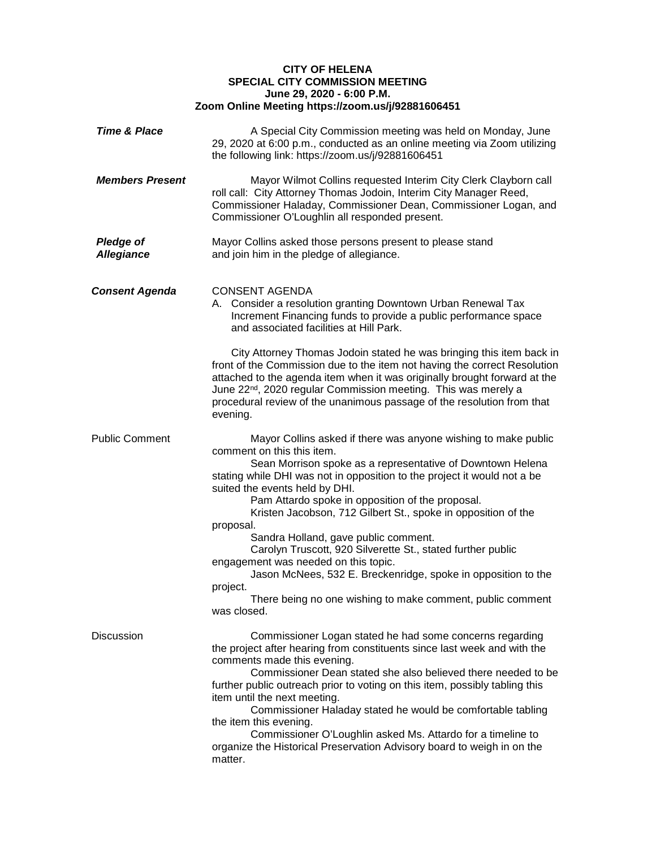## **CITY OF HELENA SPECIAL CITY COMMISSION MEETING June 29, 2020 - 6:00 P.M. Zoom Online Meeting https://zoom.us/j/92881606451**

| <b>Time &amp; Place</b>               | A Special City Commission meeting was held on Monday, June<br>29, 2020 at 6:00 p.m., conducted as an online meeting via Zoom utilizing<br>the following link: https://zoom.us/j/92881606451                                                                                                                                                                                                                                                                                                                                                                                                                                                                                                                         |
|---------------------------------------|---------------------------------------------------------------------------------------------------------------------------------------------------------------------------------------------------------------------------------------------------------------------------------------------------------------------------------------------------------------------------------------------------------------------------------------------------------------------------------------------------------------------------------------------------------------------------------------------------------------------------------------------------------------------------------------------------------------------|
| <b>Members Present</b>                | Mayor Wilmot Collins requested Interim City Clerk Clayborn call<br>roll call: City Attorney Thomas Jodoin, Interim City Manager Reed,<br>Commissioner Haladay, Commissioner Dean, Commissioner Logan, and<br>Commissioner O'Loughlin all responded present.                                                                                                                                                                                                                                                                                                                                                                                                                                                         |
| <b>Pledge of</b><br><b>Allegiance</b> | Mayor Collins asked those persons present to please stand<br>and join him in the pledge of allegiance.                                                                                                                                                                                                                                                                                                                                                                                                                                                                                                                                                                                                              |
| <b>Consent Agenda</b>                 | <b>CONSENT AGENDA</b><br>A. Consider a resolution granting Downtown Urban Renewal Tax<br>Increment Financing funds to provide a public performance space<br>and associated facilities at Hill Park.                                                                                                                                                                                                                                                                                                                                                                                                                                                                                                                 |
|                                       | City Attorney Thomas Jodoin stated he was bringing this item back in<br>front of the Commission due to the item not having the correct Resolution<br>attached to the agenda item when it was originally brought forward at the<br>June 22 <sup>nd</sup> , 2020 regular Commission meeting. This was merely a<br>procedural review of the unanimous passage of the resolution from that<br>evening.                                                                                                                                                                                                                                                                                                                  |
| <b>Public Comment</b>                 | Mayor Collins asked if there was anyone wishing to make public<br>comment on this this item.<br>Sean Morrison spoke as a representative of Downtown Helena<br>stating while DHI was not in opposition to the project it would not a be<br>suited the events held by DHI.<br>Pam Attardo spoke in opposition of the proposal.<br>Kristen Jacobson, 712 Gilbert St., spoke in opposition of the<br>proposal.<br>Sandra Holland, gave public comment.<br>Carolyn Truscott, 920 Silverette St., stated further public<br>engagement was needed on this topic.<br>Jason McNees, 532 E. Breckenridge, spoke in opposition to the<br>project.<br>There being no one wishing to make comment, public comment<br>was closed. |
| <b>Discussion</b>                     | Commissioner Logan stated he had some concerns regarding<br>the project after hearing from constituents since last week and with the<br>comments made this evening.<br>Commissioner Dean stated she also believed there needed to be<br>further public outreach prior to voting on this item, possibly tabling this<br>item until the next meeting.<br>Commissioner Haladay stated he would be comfortable tabling<br>the item this evening.<br>Commissioner O'Loughlin asked Ms. Attardo for a timeline to<br>organize the Historical Preservation Advisory board to weigh in on the<br>matter.                                                                                                                    |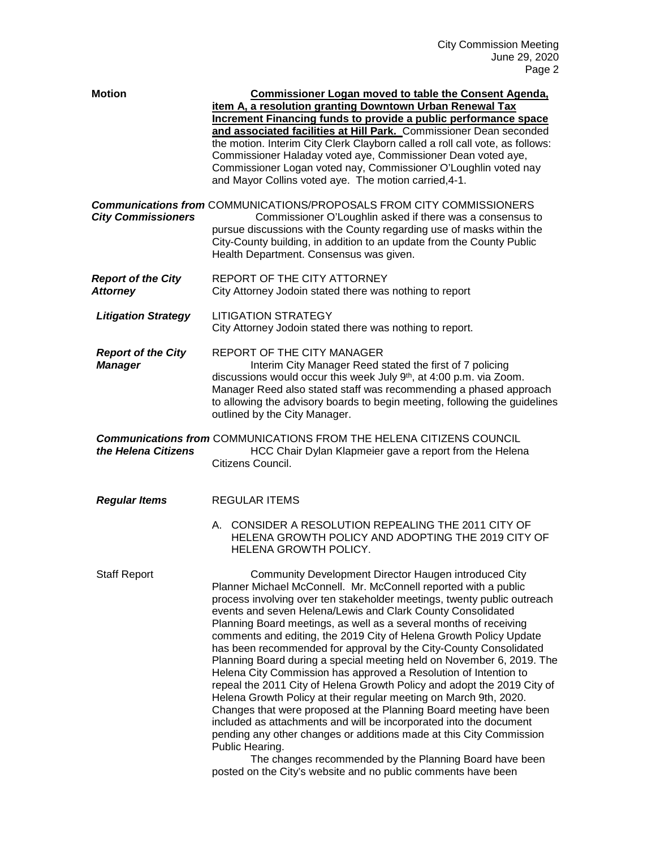| <b>Motion</b>                                | <b>Commissioner Logan moved to table the Consent Agenda.</b><br>item A, a resolution granting Downtown Urban Renewal Tax<br>Increment Financing funds to provide a public performance space<br>and associated facilities at Hill Park. Commissioner Dean seconded<br>the motion. Interim City Clerk Clayborn called a roll call vote, as follows:<br>Commissioner Haladay voted aye, Commissioner Dean voted aye,<br>Commissioner Logan voted nay, Commissioner O'Loughlin voted nay<br>and Mayor Collins voted aye. The motion carried, 4-1.                                                                                                                                                                                                                                                                                                                                                                                                                                                                                                                                                                                                     |
|----------------------------------------------|---------------------------------------------------------------------------------------------------------------------------------------------------------------------------------------------------------------------------------------------------------------------------------------------------------------------------------------------------------------------------------------------------------------------------------------------------------------------------------------------------------------------------------------------------------------------------------------------------------------------------------------------------------------------------------------------------------------------------------------------------------------------------------------------------------------------------------------------------------------------------------------------------------------------------------------------------------------------------------------------------------------------------------------------------------------------------------------------------------------------------------------------------|
| <b>City Commissioners</b>                    | <b>Communications from COMMUNICATIONS/PROPOSALS FROM CITY COMMISSIONERS</b><br>Commissioner O'Loughlin asked if there was a consensus to<br>pursue discussions with the County regarding use of masks within the<br>City-County building, in addition to an update from the County Public<br>Health Department. Consensus was given.                                                                                                                                                                                                                                                                                                                                                                                                                                                                                                                                                                                                                                                                                                                                                                                                              |
| <b>Report of the City</b><br><b>Attorney</b> | REPORT OF THE CITY ATTORNEY<br>City Attorney Jodoin stated there was nothing to report                                                                                                                                                                                                                                                                                                                                                                                                                                                                                                                                                                                                                                                                                                                                                                                                                                                                                                                                                                                                                                                            |
| <b>Litigation Strategy</b>                   | <b>LITIGATION STRATEGY</b><br>City Attorney Jodoin stated there was nothing to report.                                                                                                                                                                                                                                                                                                                                                                                                                                                                                                                                                                                                                                                                                                                                                                                                                                                                                                                                                                                                                                                            |
| <b>Report of the City</b><br><b>Manager</b>  | <b>REPORT OF THE CITY MANAGER</b><br>Interim City Manager Reed stated the first of 7 policing<br>discussions would occur this week July 9th, at 4:00 p.m. via Zoom.<br>Manager Reed also stated staff was recommending a phased approach<br>to allowing the advisory boards to begin meeting, following the guidelines<br>outlined by the City Manager.                                                                                                                                                                                                                                                                                                                                                                                                                                                                                                                                                                                                                                                                                                                                                                                           |
| the Helena Citizens                          | <b>Communications from COMMUNICATIONS FROM THE HELENA CITIZENS COUNCIL</b><br>HCC Chair Dylan Klapmeier gave a report from the Helena<br>Citizens Council.                                                                                                                                                                                                                                                                                                                                                                                                                                                                                                                                                                                                                                                                                                                                                                                                                                                                                                                                                                                        |
| <b>Regular Items</b>                         | <b>REGULAR ITEMS</b>                                                                                                                                                                                                                                                                                                                                                                                                                                                                                                                                                                                                                                                                                                                                                                                                                                                                                                                                                                                                                                                                                                                              |
|                                              | A. CONSIDER A RESOLUTION REPEALING THE 2011 CITY OF<br>HELENA GROWTH POLICY AND ADOPTING THE 2019 CITY OF<br>HELENA GROWTH POLICY.                                                                                                                                                                                                                                                                                                                                                                                                                                                                                                                                                                                                                                                                                                                                                                                                                                                                                                                                                                                                                |
| <b>Staff Report</b>                          | Community Development Director Haugen introduced City<br>Planner Michael McConnell. Mr. McConnell reported with a public<br>process involving over ten stakeholder meetings, twenty public outreach<br>events and seven Helena/Lewis and Clark County Consolidated<br>Planning Board meetings, as well as a several months of receiving<br>comments and editing, the 2019 City of Helena Growth Policy Update<br>has been recommended for approval by the City-County Consolidated<br>Planning Board during a special meeting held on November 6, 2019. The<br>Helena City Commission has approved a Resolution of Intention to<br>repeal the 2011 City of Helena Growth Policy and adopt the 2019 City of<br>Helena Growth Policy at their regular meeting on March 9th, 2020.<br>Changes that were proposed at the Planning Board meeting have been<br>included as attachments and will be incorporated into the document<br>pending any other changes or additions made at this City Commission<br>Public Hearing.<br>The changes recommended by the Planning Board have been<br>posted on the City's website and no public comments have been |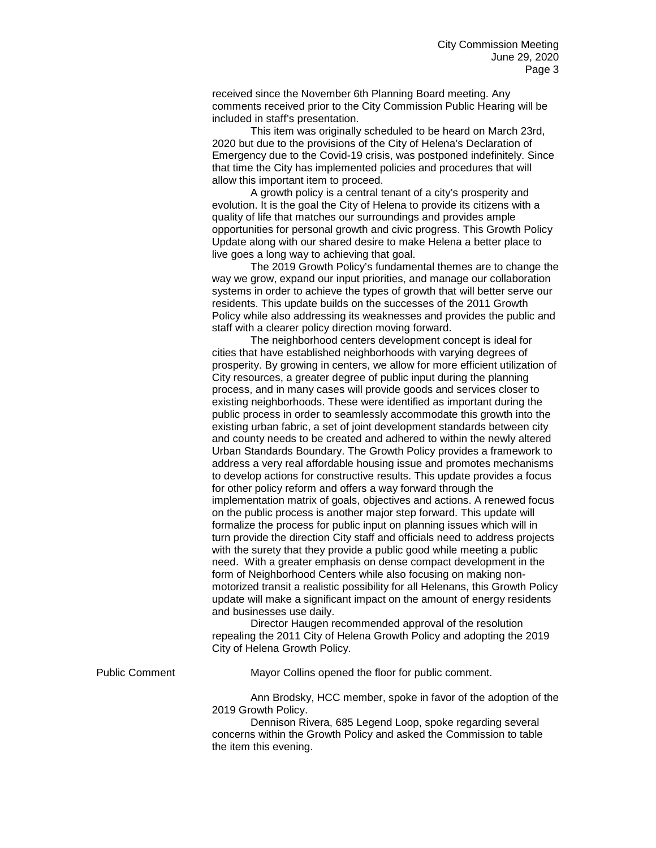received since the November 6th Planning Board meeting. Any comments received prior to the City Commission Public Hearing will be included in staff's presentation.

This item was originally scheduled to be heard on March 23rd, 2020 but due to the provisions of the City of Helena's Declaration of Emergency due to the Covid-19 crisis, was postponed indefinitely. Since that time the City has implemented policies and procedures that will allow this important item to proceed.

A growth policy is a central tenant of a city's prosperity and evolution. It is the goal the City of Helena to provide its citizens with a quality of life that matches our surroundings and provides ample opportunities for personal growth and civic progress. This Growth Policy Update along with our shared desire to make Helena a better place to live goes a long way to achieving that goal.

The 2019 Growth Policy's fundamental themes are to change the way we grow, expand our input priorities, and manage our collaboration systems in order to achieve the types of growth that will better serve our residents. This update builds on the successes of the 2011 Growth Policy while also addressing its weaknesses and provides the public and staff with a clearer policy direction moving forward.

The neighborhood centers development concept is ideal for cities that have established neighborhoods with varying degrees of prosperity. By growing in centers, we allow for more efficient utilization of City resources, a greater degree of public input during the planning process, and in many cases will provide goods and services closer to existing neighborhoods. These were identified as important during the public process in order to seamlessly accommodate this growth into the existing urban fabric, a set of joint development standards between city and county needs to be created and adhered to within the newly altered Urban Standards Boundary. The Growth Policy provides a framework to address a very real affordable housing issue and promotes mechanisms to develop actions for constructive results. This update provides a focus for other policy reform and offers a way forward through the implementation matrix of goals, objectives and actions. A renewed focus on the public process is another major step forward. This update will formalize the process for public input on planning issues which will in turn provide the direction City staff and officials need to address projects with the surety that they provide a public good while meeting a public need. With a greater emphasis on dense compact development in the form of Neighborhood Centers while also focusing on making nonmotorized transit a realistic possibility for all Helenans, this Growth Policy update will make a significant impact on the amount of energy residents and businesses use daily.

Director Haugen recommended approval of the resolution repealing the 2011 City of Helena Growth Policy and adopting the 2019 City of Helena Growth Policy.

Public Comment Mayor Collins opened the floor for public comment.

Ann Brodsky, HCC member, spoke in favor of the adoption of the 2019 Growth Policy.

Dennison Rivera, 685 Legend Loop, spoke regarding several concerns within the Growth Policy and asked the Commission to table the item this evening.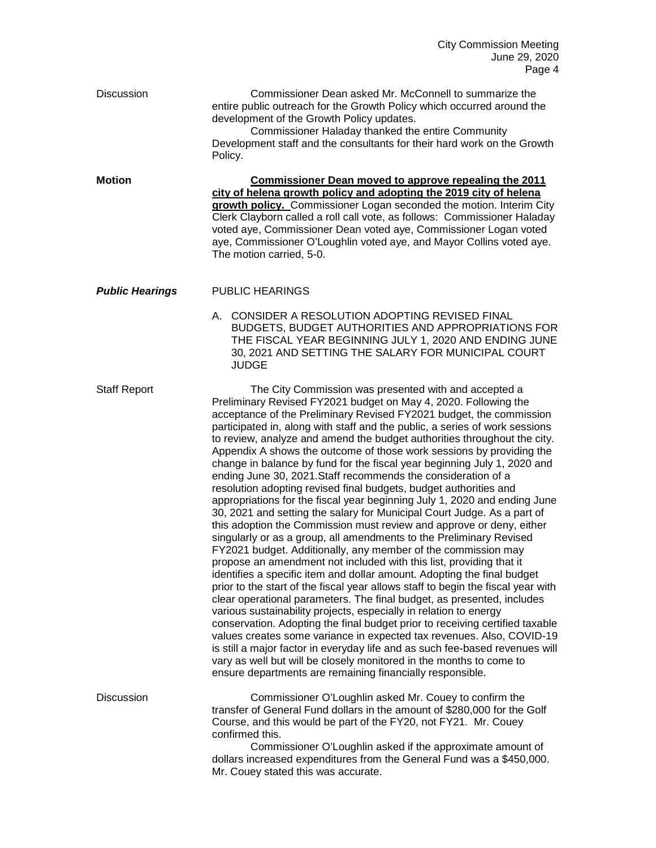| <b>Discussion</b>      | Commissioner Dean asked Mr. McConnell to summarize the<br>entire public outreach for the Growth Policy which occurred around the<br>development of the Growth Policy updates.<br>Commissioner Haladay thanked the entire Community<br>Development staff and the consultants for their hard work on the Growth<br>Policy.                                                                                                                                                                                                                                                                                                                                                                                                                                                                                                                                                                                                                                                                                                                                                                                                                                                                                                                                                                                                                                                                                                                                                                                                                                                                                                                                                                                                                                                                       |
|------------------------|------------------------------------------------------------------------------------------------------------------------------------------------------------------------------------------------------------------------------------------------------------------------------------------------------------------------------------------------------------------------------------------------------------------------------------------------------------------------------------------------------------------------------------------------------------------------------------------------------------------------------------------------------------------------------------------------------------------------------------------------------------------------------------------------------------------------------------------------------------------------------------------------------------------------------------------------------------------------------------------------------------------------------------------------------------------------------------------------------------------------------------------------------------------------------------------------------------------------------------------------------------------------------------------------------------------------------------------------------------------------------------------------------------------------------------------------------------------------------------------------------------------------------------------------------------------------------------------------------------------------------------------------------------------------------------------------------------------------------------------------------------------------------------------------|
| <b>Motion</b>          | Commissioner Dean moved to approve repealing the 2011<br>city of helena growth policy and adopting the 2019 city of helena<br>growth policy. Commissioner Logan seconded the motion. Interim City<br>Clerk Clayborn called a roll call vote, as follows: Commissioner Haladay<br>voted aye, Commissioner Dean voted aye, Commissioner Logan voted<br>aye, Commissioner O'Loughlin voted aye, and Mayor Collins voted aye.<br>The motion carried, 5-0.                                                                                                                                                                                                                                                                                                                                                                                                                                                                                                                                                                                                                                                                                                                                                                                                                                                                                                                                                                                                                                                                                                                                                                                                                                                                                                                                          |
| <b>Public Hearings</b> | <b>PUBLIC HEARINGS</b>                                                                                                                                                                                                                                                                                                                                                                                                                                                                                                                                                                                                                                                                                                                                                                                                                                                                                                                                                                                                                                                                                                                                                                                                                                                                                                                                                                                                                                                                                                                                                                                                                                                                                                                                                                         |
|                        | A. CONSIDER A RESOLUTION ADOPTING REVISED FINAL<br>BUDGETS, BUDGET AUTHORITIES AND APPROPRIATIONS FOR<br>THE FISCAL YEAR BEGINNING JULY 1, 2020 AND ENDING JUNE<br>30, 2021 AND SETTING THE SALARY FOR MUNICIPAL COURT<br><b>JUDGE</b>                                                                                                                                                                                                                                                                                                                                                                                                                                                                                                                                                                                                                                                                                                                                                                                                                                                                                                                                                                                                                                                                                                                                                                                                                                                                                                                                                                                                                                                                                                                                                         |
| <b>Staff Report</b>    | The City Commission was presented with and accepted a<br>Preliminary Revised FY2021 budget on May 4, 2020. Following the<br>acceptance of the Preliminary Revised FY2021 budget, the commission<br>participated in, along with staff and the public, a series of work sessions<br>to review, analyze and amend the budget authorities throughout the city.<br>Appendix A shows the outcome of those work sessions by providing the<br>change in balance by fund for the fiscal year beginning July 1, 2020 and<br>ending June 30, 2021. Staff recommends the consideration of a<br>resolution adopting revised final budgets, budget authorities and<br>appropriations for the fiscal year beginning July 1, 2020 and ending June<br>30, 2021 and setting the salary for Municipal Court Judge. As a part of<br>this adoption the Commission must review and approve or deny, either<br>singularly or as a group, all amendments to the Preliminary Revised<br>FY2021 budget. Additionally, any member of the commission may<br>propose an amendment not included with this list, providing that it<br>identifies a specific item and dollar amount. Adopting the final budget<br>prior to the start of the fiscal year allows staff to begin the fiscal year with<br>clear operational parameters. The final budget, as presented, includes<br>various sustainability projects, especially in relation to energy<br>conservation. Adopting the final budget prior to receiving certified taxable<br>values creates some variance in expected tax revenues. Also, COVID-19<br>is still a major factor in everyday life and as such fee-based revenues will<br>vary as well but will be closely monitored in the months to come to<br>ensure departments are remaining financially responsible. |
| <b>Discussion</b>      | Commissioner O'Loughlin asked Mr. Couey to confirm the<br>transfer of General Fund dollars in the amount of \$280,000 for the Golf<br>Course, and this would be part of the FY20, not FY21. Mr. Couey<br>confirmed this.<br>Commissioner O'Loughlin asked if the approximate amount of<br>dollars increased expenditures from the General Fund was a \$450,000.                                                                                                                                                                                                                                                                                                                                                                                                                                                                                                                                                                                                                                                                                                                                                                                                                                                                                                                                                                                                                                                                                                                                                                                                                                                                                                                                                                                                                                |
|                        | Mr. Couey stated this was accurate.                                                                                                                                                                                                                                                                                                                                                                                                                                                                                                                                                                                                                                                                                                                                                                                                                                                                                                                                                                                                                                                                                                                                                                                                                                                                                                                                                                                                                                                                                                                                                                                                                                                                                                                                                            |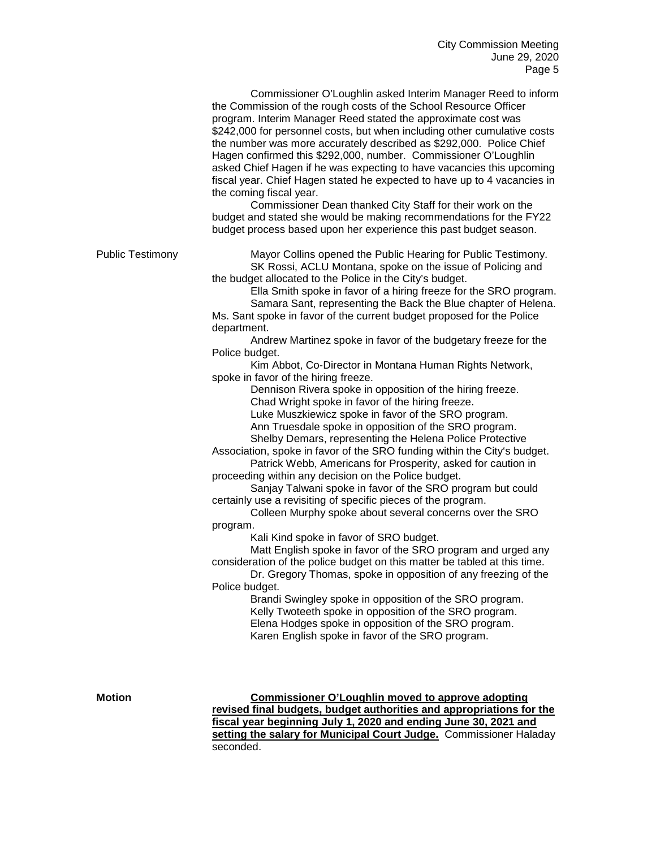Commissioner O'Loughlin asked Interim Manager Reed to inform the Commission of the rough costs of the School Resource Officer program. Interim Manager Reed stated the approximate cost was \$242,000 for personnel costs, but when including other cumulative costs the number was more accurately described as \$292,000. Police Chief Hagen confirmed this \$292,000, number. Commissioner O'Loughlin asked Chief Hagen if he was expecting to have vacancies this upcoming fiscal year. Chief Hagen stated he expected to have up to 4 vacancies in the coming fiscal year.

Commissioner Dean thanked City Staff for their work on the budget and stated she would be making recommendations for the FY22 budget process based upon her experience this past budget season.

Public Testimony Mayor Collins opened the Public Hearing for Public Testimony. SK Rossi, ACLU Montana, spoke on the issue of Policing and the budget allocated to the Police in the City's budget.

Ella Smith spoke in favor of a hiring freeze for the SRO program.

Samara Sant, representing the Back the Blue chapter of Helena. Ms. Sant spoke in favor of the current budget proposed for the Police department.

Andrew Martinez spoke in favor of the budgetary freeze for the Police budget.

Kim Abbot, Co-Director in Montana Human Rights Network, spoke in favor of the hiring freeze.

Dennison Rivera spoke in opposition of the hiring freeze. Chad Wright spoke in favor of the hiring freeze.

Luke Muszkiewicz spoke in favor of the SRO program.

Ann Truesdale spoke in opposition of the SRO program.

Shelby Demars, representing the Helena Police Protective

Association, spoke in favor of the SRO funding within the City's budget. Patrick Webb, Americans for Prosperity, asked for caution in

proceeding within any decision on the Police budget. Sanjay Talwani spoke in favor of the SRO program but could

certainly use a revisiting of specific pieces of the program.

Colleen Murphy spoke about several concerns over the SRO program.

Kali Kind spoke in favor of SRO budget.

Matt English spoke in favor of the SRO program and urged any consideration of the police budget on this matter be tabled at this time.

Dr. Gregory Thomas, spoke in opposition of any freezing of the Police budget.

> Brandi Swingley spoke in opposition of the SRO program. Kelly Twoteeth spoke in opposition of the SRO program. Elena Hodges spoke in opposition of the SRO program. Karen English spoke in favor of the SRO program.

**Motion Commissioner O'Loughlin moved to approve adopting revised final budgets, budget authorities and appropriations for the fiscal year beginning July 1, 2020 and ending June 30, 2021 and setting the salary for Municipal Court Judge.** Commissioner Haladay seconded.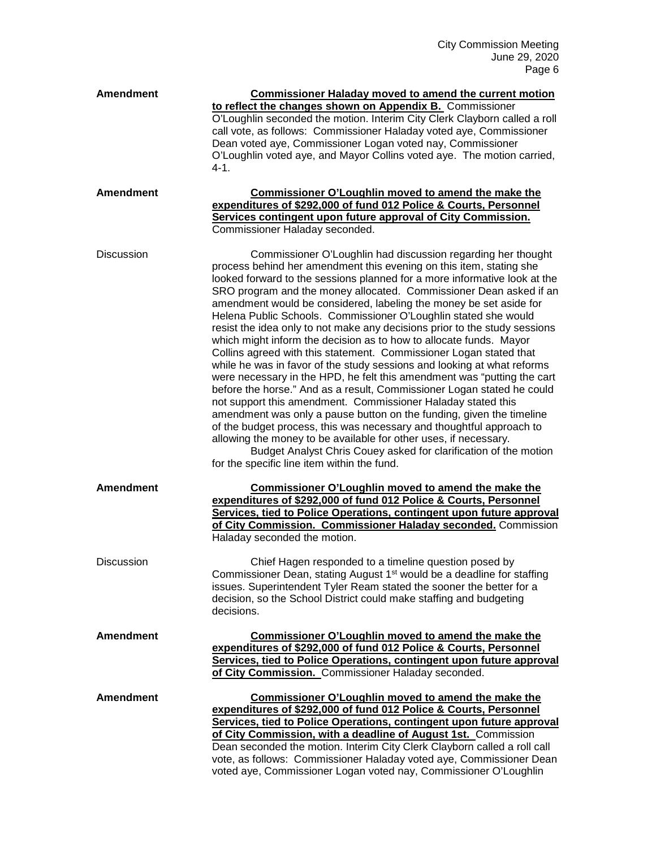| <b>Amendment</b>  | <b>Commissioner Haladay moved to amend the current motion</b><br>to reflect the changes shown on Appendix B. Commissioner<br>O'Loughlin seconded the motion. Interim City Clerk Clayborn called a roll<br>call vote, as follows: Commissioner Haladay voted aye, Commissioner<br>Dean voted aye, Commissioner Logan voted nay, Commissioner<br>O'Loughlin voted aye, and Mayor Collins voted aye. The motion carried,<br>$4 - 1.$                                                                                                                                                                                                                                                                                                                                                                                                                                                                                                                                                                                                                                                                                                                                                                                                                                                                |
|-------------------|--------------------------------------------------------------------------------------------------------------------------------------------------------------------------------------------------------------------------------------------------------------------------------------------------------------------------------------------------------------------------------------------------------------------------------------------------------------------------------------------------------------------------------------------------------------------------------------------------------------------------------------------------------------------------------------------------------------------------------------------------------------------------------------------------------------------------------------------------------------------------------------------------------------------------------------------------------------------------------------------------------------------------------------------------------------------------------------------------------------------------------------------------------------------------------------------------------------------------------------------------------------------------------------------------|
| <b>Amendment</b>  | Commissioner O'Loughlin moved to amend the make the<br>expenditures of \$292,000 of fund 012 Police & Courts, Personnel<br>Services contingent upon future approval of City Commission.<br>Commissioner Haladay seconded.                                                                                                                                                                                                                                                                                                                                                                                                                                                                                                                                                                                                                                                                                                                                                                                                                                                                                                                                                                                                                                                                        |
| <b>Discussion</b> | Commissioner O'Loughlin had discussion regarding her thought<br>process behind her amendment this evening on this item, stating she<br>looked forward to the sessions planned for a more informative look at the<br>SRO program and the money allocated. Commissioner Dean asked if an<br>amendment would be considered, labeling the money be set aside for<br>Helena Public Schools. Commissioner O'Loughlin stated she would<br>resist the idea only to not make any decisions prior to the study sessions<br>which might inform the decision as to how to allocate funds. Mayor<br>Collins agreed with this statement. Commissioner Logan stated that<br>while he was in favor of the study sessions and looking at what reforms<br>were necessary in the HPD, he felt this amendment was "putting the cart<br>before the horse." And as a result, Commissioner Logan stated he could<br>not support this amendment. Commissioner Haladay stated this<br>amendment was only a pause button on the funding, given the timeline<br>of the budget process, this was necessary and thoughtful approach to<br>allowing the money to be available for other uses, if necessary.<br>Budget Analyst Chris Couey asked for clarification of the motion<br>for the specific line item within the fund. |
| <b>Amendment</b>  | Commissioner O'Loughlin moved to amend the make the<br>expenditures of \$292,000 of fund 012 Police & Courts, Personnel<br>Services, tied to Police Operations, contingent upon future approval<br>of City Commission. Commissioner Haladay seconded. Commission<br>Haladay seconded the motion.                                                                                                                                                                                                                                                                                                                                                                                                                                                                                                                                                                                                                                                                                                                                                                                                                                                                                                                                                                                                 |
| <b>Discussion</b> | Chief Hagen responded to a timeline question posed by<br>Commissioner Dean, stating August 1 <sup>st</sup> would be a deadline for staffing<br>issues. Superintendent Tyler Ream stated the sooner the better for a<br>decision, so the School District could make staffing and budgeting<br>decisions.                                                                                                                                                                                                                                                                                                                                                                                                                                                                                                                                                                                                                                                                                                                                                                                                                                                                                                                                                                                          |
| <b>Amendment</b>  | Commissioner O'Loughlin moved to amend the make the<br>expenditures of \$292,000 of fund 012 Police & Courts, Personnel<br>Services, tied to Police Operations, contingent upon future approval<br>of City Commission. Commissioner Haladay seconded.                                                                                                                                                                                                                                                                                                                                                                                                                                                                                                                                                                                                                                                                                                                                                                                                                                                                                                                                                                                                                                            |
| <b>Amendment</b>  | Commissioner O'Loughlin moved to amend the make the<br>expenditures of \$292,000 of fund 012 Police & Courts, Personnel<br>Services, tied to Police Operations, contingent upon future approval<br>of City Commission, with a deadline of August 1st. Commission<br>Dean seconded the motion. Interim City Clerk Clayborn called a roll call<br>vote, as follows: Commissioner Haladay voted aye, Commissioner Dean<br>voted aye, Commissioner Logan voted nay, Commissioner O'Loughlin                                                                                                                                                                                                                                                                                                                                                                                                                                                                                                                                                                                                                                                                                                                                                                                                          |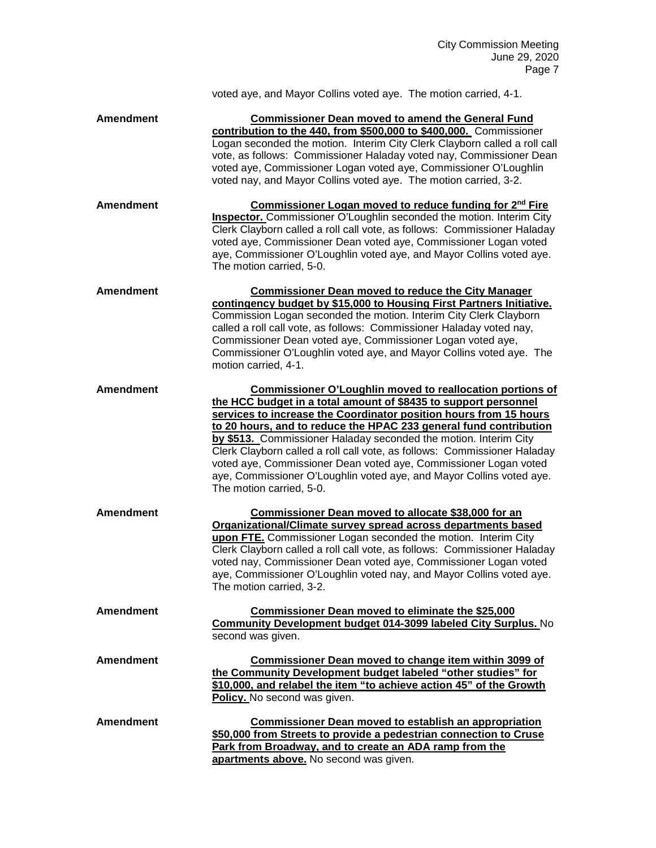|                  | voted aye, and Mayor Collins voted aye. The motion carried, 4-1.                                                                                                                                                                                                                                                                                                                                                                                                                                                                                                                               |
|------------------|------------------------------------------------------------------------------------------------------------------------------------------------------------------------------------------------------------------------------------------------------------------------------------------------------------------------------------------------------------------------------------------------------------------------------------------------------------------------------------------------------------------------------------------------------------------------------------------------|
| <b>Amendment</b> | <b>Commissioner Dean moved to amend the General Fund</b><br>contribution to the 440, from \$500,000 to \$400,000. Commissioner<br>Logan seconded the motion. Interim City Clerk Clayborn called a roll call<br>vote, as follows: Commissioner Haladay voted nay, Commissioner Dean<br>voted aye, Commissioner Logan voted aye, Commissioner O'Loughlin<br>voted nay, and Mayor Collins voted aye. The motion carried, 3-2.                                                                                                                                                                     |
| <b>Amendment</b> | Commissioner Logan moved to reduce funding for 2 <sup>nd</sup> Fire<br>Inspector. Commissioner O'Loughlin seconded the motion. Interim City<br>Clerk Clayborn called a roll call vote, as follows: Commissioner Haladay<br>voted aye, Commissioner Dean voted aye, Commissioner Logan voted<br>aye, Commissioner O'Loughlin voted aye, and Mayor Collins voted aye.<br>The motion carried, 5-0.                                                                                                                                                                                                |
| <b>Amendment</b> | <b>Commissioner Dean moved to reduce the City Manager</b><br>contingency budget by \$15,000 to Housing First Partners Initiative.<br>Commission Logan seconded the motion. Interim City Clerk Clayborn<br>called a roll call vote, as follows: Commissioner Haladay voted nay,<br>Commissioner Dean voted aye, Commissioner Logan voted aye,<br>Commissioner O'Loughlin voted aye, and Mayor Collins voted aye. The<br>motion carried, 4-1.                                                                                                                                                    |
| <b>Amendment</b> | Commissioner O'Loughlin moved to reallocation portions of<br>the HCC budget in a total amount of \$8435 to support personnel<br>services to increase the Coordinator position hours from 15 hours<br>to 20 hours, and to reduce the HPAC 233 general fund contribution<br>by \$513. Commissioner Haladay seconded the motion. Interim City<br>Clerk Clayborn called a roll call vote, as follows: Commissioner Haladay<br>voted aye, Commissioner Dean voted aye, Commissioner Logan voted<br>aye, Commissioner O'Loughlin voted aye, and Mayor Collins voted aye.<br>The motion carried, 5-0. |
| <b>Amendment</b> | Commissioner Dean moved to allocate \$38,000 for an<br>Organizational/Climate survey spread across departments based<br>upon FTE. Commissioner Logan seconded the motion. Interim City<br>Clerk Clayborn called a roll call vote, as follows: Commissioner Haladay<br>voted nay, Commissioner Dean voted aye, Commissioner Logan voted<br>aye, Commissioner O'Loughlin voted nay, and Mayor Collins voted aye.<br>The motion carried, 3-2.                                                                                                                                                     |
| <b>Amendment</b> | <b>Commissioner Dean moved to eliminate the \$25,000</b><br><b>Community Development budget 014-3099 labeled City Surplus. No</b><br>second was given.                                                                                                                                                                                                                                                                                                                                                                                                                                         |
| <b>Amendment</b> | Commissioner Dean moved to change item within 3099 of<br>the Community Development budget labeled "other studies" for<br>\$10,000, and relabel the item "to achieve action 45" of the Growth<br>Policy. No second was given.                                                                                                                                                                                                                                                                                                                                                                   |
| <b>Amendment</b> | <b>Commissioner Dean moved to establish an appropriation</b><br>\$50,000 from Streets to provide a pedestrian connection to Cruse<br>Park from Broadway, and to create an ADA ramp from the<br>apartments above. No second was given.                                                                                                                                                                                                                                                                                                                                                          |